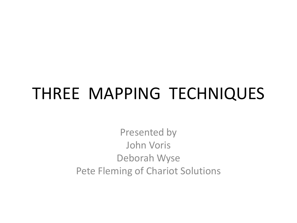## THREE MAPPING TECHNIQUES

Presented by John Voris Deborah Wyse Pete Fleming of Chariot Solutions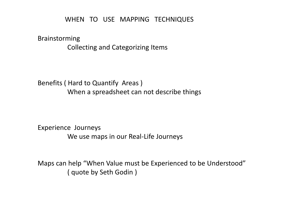#### WHEN TO USE MAPPING TECHNIQUES

Brainstorming Collecting and Categorizing Items

Benefits ( Hard to Quantify Areas ) When a spreadsheet can not describe things

Experience Journeys We use maps in our Real-Life Journeys

Maps can help "When Value must be Experienced to be Understood" ( quote by Seth Godin )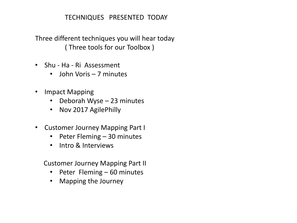#### TECHNIQUES PRESENTED TODAY

Three different techniques you will hear today ( Three tools for our Toolbox )

- Shu Ha Ri Assessment
	- John Voris 7 minutes
- Impact Mapping
	- Deborah Wyse 23 minutes
	- Nov 2017 AgilePhilly
- Customer Journey Mapping Part I
	- Peter Fleming 30 minutes
	- Intro & Interviews

Customer Journey Mapping Part II

- Peter Fleming 60 minutes
- Mapping the Journey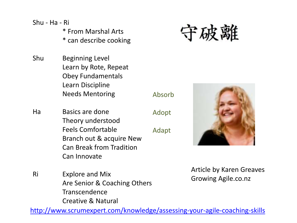Shu - Ha - Ri

- \* From Marshal Arts
- \* can describe cooking
- Shu Beginning Level Learn by Rote, Repeat Obey Fundamentals Learn Discipline Needs Mentoring
- Ha Basics are done Theory understood Feels Comfortable Branch out & acquire New Can Break from Tradition Can Innovate
- Ri Explore and Mix Are Senior & Coaching Others Transcendence Creative & Natural

Article by Karen Greaves Growing Agile.co.nz

<http://www.scrumexpert.com/knowledge/assessing-your-agile-coaching-skills>

Absorb

Adopt Adapt

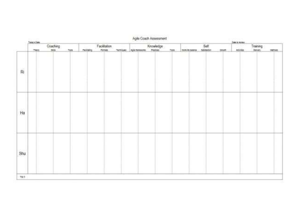|                          |           | Aglie Coach Assessment |     |                 |              |  |                      |           |       |                      |  |                |                   |                   |             |
|--------------------------|-----------|------------------------|-----|-----------------|--------------|--|----------------------|-----------|-------|----------------------|--|----------------|-------------------|-------------------|-------------|
|                          | Searching |                        |     | Facilitation    |              |  |                      |           |       | Self                 |  | <b>JALIUSE</b> |                   |                   |             |
|                          | 7907      | $\frac{Caathing}{sin}$ | 709 | <b>Falliday</b> | <b>Homes</b> |  | TACHFORD, Agreements | Knowledge | TIDE. | non-resuma selection |  | Ohioff.        | <b>Activities</b> | Training<br>Janes | <b>MEMI</b> |
| $\widetilde{\mathsf{R}}$ |           |                        |     |                 |              |  |                      |           |       |                      |  |                |                   |                   |             |
| Ha                       |           |                        |     |                 |              |  |                      |           |       |                      |  |                |                   |                   |             |
| Shu                      |           |                        |     |                 |              |  |                      |           |       |                      |  |                |                   |                   |             |
| 785                      |           |                        |     |                 |              |  |                      |           |       |                      |  |                |                   |                   |             |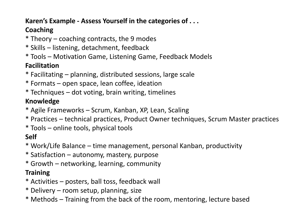#### **Karen's Example - Assess Yourself in the categories of . . .**

### **Coaching**

- \* Theory coaching contracts, the 9 modes
- \* Skills listening, detachment, feedback
- \* Tools Motivation Game, Listening Game, Feedback Models

### **Facilitation**

- \* Facilitating planning, distributed sessions, large scale
- \* Formats open space, lean coffee, ideation
- \* Techniques dot voting, brain writing, timelines

### **Knowledge**

- \* Agile Frameworks Scrum, Kanban, XP, Lean, Scaling
- \* Practices technical practices, Product Owner techniques, Scrum Master practices
- \* Tools online tools, physical tools

### **Self**

- \* Work/Life Balance time management, personal Kanban, productivity
- \* Satisfaction autonomy, mastery, purpose
- \* Growth networking, learning, community

#### **Training**

- \* Activities posters, ball toss, feedback wall
- \* Delivery room setup, planning, size
- \* Methods Training from the back of the room, mentoring, lecture based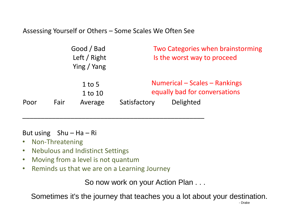Assessing Yourself or Others – Some Scales We Often See

\_\_\_\_\_\_\_\_\_\_\_\_\_\_\_\_\_\_\_\_\_\_\_\_\_\_\_\_\_\_\_\_\_\_\_\_\_\_\_\_\_\_\_\_\_\_\_\_\_

|      |      | Good / Bad<br>Left / Right<br>Ying / Yang | Two Categories when brainstorming<br>Is the worst way to proceed |                                                                             |  |  |  |  |
|------|------|-------------------------------------------|------------------------------------------------------------------|-----------------------------------------------------------------------------|--|--|--|--|
| Poor | Fair | $1$ to 5<br>1 to 10<br>Average            | Satisfactory                                                     | Numerical – Scales – Rankings<br>equally bad for conversations<br>Delighted |  |  |  |  |

#### But using  $Shu - Ha - Ri$

- Non-Threatening
- Nebulous and Indistinct Settings
- Moving from a level is not quantum
- Reminds us that we are on a Learning Journey

So now work on your Action Plan . . .

Sometimes it's the journey that teaches you a lot about your destination.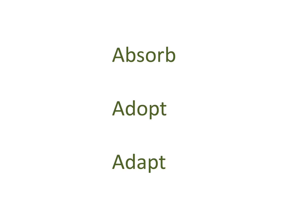# Absorb

Adopt

Adapt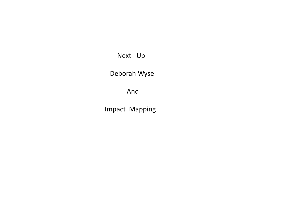Next Up

Deborah Wyse

And

Impact Mapping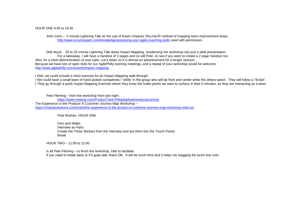#### HOUR ONE 9:45 to 10:45

 John Voris – 5 minute Lightning Talk on the use of Karen Greaves Shu-Ha-Ri method of mapping team improvement areas. <http://www.scrumexpert.com/knowledge/assessing-your-agile-coaching-skills> used with permission.

 Deb Wyze - 20 to 25 minute Lightning Talk about Impact Mapping, condensing her workshop into just a slide presentation. For a takeaway, I will have a handout of 2 pages and so will Pete, so see if you want to create a 2 page handout too. Also, for a short demonstration of your topic, cut it down so it is almost an advertisement for a longer session. Because we have lots of open slots for our AgilePhilly evening meetings, and a repeat of your workshop would be welcome. <http://www.agilephilly.com/events/impact-mapping>

( Deb, we could include a short exercise for an Impact Mapping walk-through.

( We could have a small team of hand-picked compatriots / "shills" in the group who will be front and center while the others watch. They will follow a "Script". ( They go through a quick Impact Mapping Exercise where they know the bullet points we want to surface in their 8 minutes, as they are interacting as a team.

Pete Fleming – from the workshop from last night . . .

 <https://www.meetup.com/ProductTank-Philadelphia/events/upcoming> The Experience is the Product! A Customer Journey Map Workshop – <https://chariotsolutions.com/event/the-experience-is-the-product-a-customer-journey-map-workshop-sold-out>

Pete finishes HOUR ONE

 Intro and Slides Interview as Pairs Create the Three Stickies from the Interview and put them into the Touch Points Break

HOUR TWO – 11:00 to 12:00

 is all Pete Fleming – to finish the workshop, Deb to facilitate If you need to break early or if it goes late, that's OK. It will be lunch time and it helps me stagging the lunch line rush.